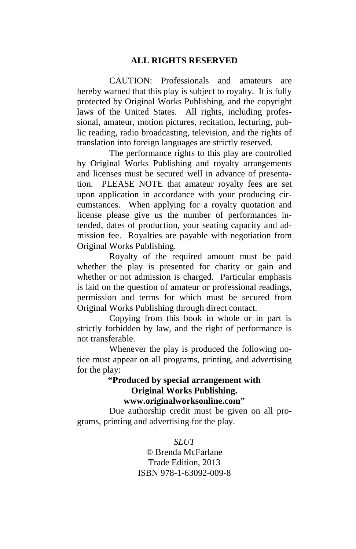#### **ALL RIGHTS RESERVED**

 CAUTION: Professionals and amateurs are hereby warned that this play is subject to royalty. It is fully protected by Original Works Publishing, and the copyright laws of the United States. All rights, including professional, amateur, motion pictures, recitation, lecturing, public reading, radio broadcasting, television, and the rights of translation into foreign languages are strictly reserved.

 The performance rights to this play are controlled by Original Works Publishing and royalty arrangements and licenses must be secured well in advance of presentation. PLEASE NOTE that amateur royalty fees are set upon application in accordance with your producing circumstances. When applying for a royalty quotation and license please give us the number of performances intended, dates of production, your seating capacity and admission fee. Royalties are payable with negotiation from Original Works Publishing.

 Royalty of the required amount must be paid whether the play is presented for charity or gain and whether or not admission is charged. Particular emphasis is laid on the question of amateur or professional readings, permission and terms for which must be secured from Original Works Publishing through direct contact.

 Copying from this book in whole or in part is strictly forbidden by law, and the right of performance is not transferable.

 Whenever the play is produced the following notice must appear on all programs, printing, and advertising for the play:

#### **"Produced by special arrangement with Original Works Publishing. www.originalworksonline.com"**

 Due authorship credit must be given on all programs, printing and advertising for the play.

> *SLUT*  © Brenda McFarlane Trade Edition, 2013 ISBN 978-1-63092-009-8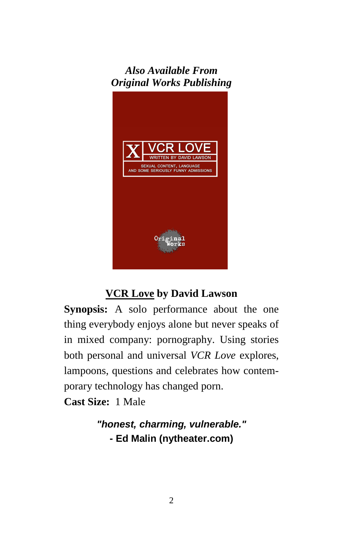## *Also Available From Original Works Publishing*



## **VCR Love by David Lawson**

**Synopsis:** A solo performance about the one thing everybody enjoys alone but never speaks of in mixed company: pornography. Using stories both personal and universal *VCR Love* explores, lampoons, questions and celebrates how contemporary technology has changed porn.

**Cast Size:** 1 Male

**"honest, charming, vulnerable." - Ed Malin (nytheater.com)**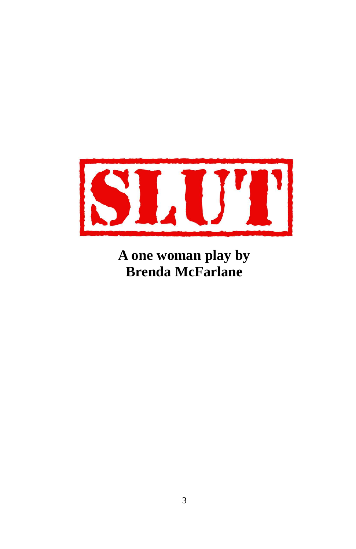

**A one woman play by Brenda McFarlane**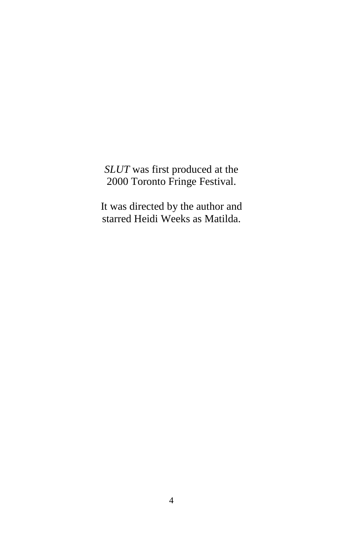*SLUT* was first produced at the 2000 Toronto Fringe Festival.

It was directed by the author and starred Heidi Weeks as Matilda.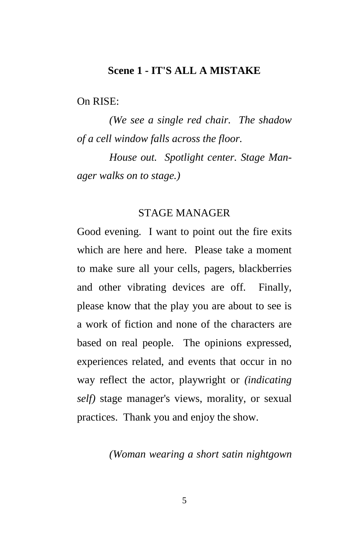#### **Scene 1 - IT'S ALL A MISTAKE**

On RISE:

 *(We see a single red chair. The shadow of a cell window falls across the floor.* 

 *House out. Spotlight center. Stage Manager walks on to stage.)* 

#### STAGE MANAGER

Good evening. I want to point out the fire exits which are here and here. Please take a moment to make sure all your cells, pagers, blackberries and other vibrating devices are off. Finally, please know that the play you are about to see is a work of fiction and none of the characters are based on real people. The opinions expressed, experiences related, and events that occur in no way reflect the actor, playwright or *(indicating self)* stage manager's views, morality, or sexual practices. Thank you and enjoy the show.

#### *(Woman wearing a short satin nightgown*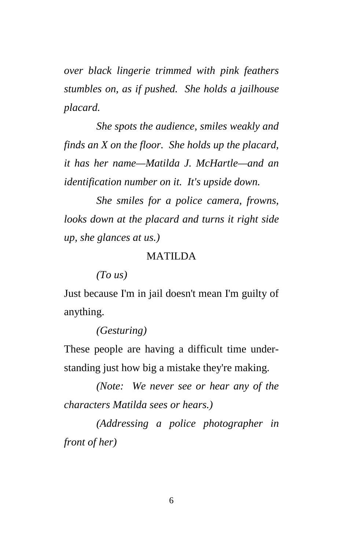*over black lingerie trimmed with pink feathers stumbles on, as if pushed. She holds a jailhouse placard.* 

 *She spots the audience, smiles weakly and finds an X on the floor. She holds up the placard, it has her name—Matilda J. McHartle—and an identification number on it. It's upside down.* 

 *She smiles for a police camera, frowns, looks down at the placard and turns it right side up, she glances at us.)* 

### MATILDA

 *(To us)* 

Just because I'm in jail doesn't mean I'm guilty of anything.

#### *(Gesturing)*

These people are having a difficult time understanding just how big a mistake they're making.

 *(Note: We never see or hear any of the characters Matilda sees or hears.)* 

 *(Addressing a police photographer in front of her)*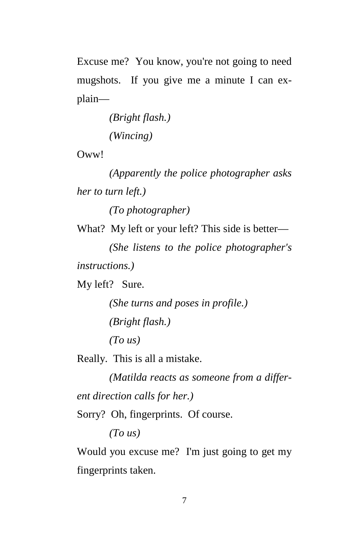Excuse me? You know, you're not going to need mugshots. If you give me a minute I can explain—

> *(Bright flash.) (Wincing)*

Oww!

 *(Apparently the police photographer asks her to turn left.)* 

 *(To photographer)* 

What? My left or your left? This side is better—

 *(She listens to the police photographer's instructions.)* 

My left? Sure.

 *(She turns and poses in profile.) (Bright flash.) (To us)* 

Really. This is all a mistake.

 *(Matilda reacts as someone from a different direction calls for her.)* 

Sorry? Oh, fingerprints. Of course.

 *(To us)* 

Would you excuse me? I'm just going to get my fingerprints taken.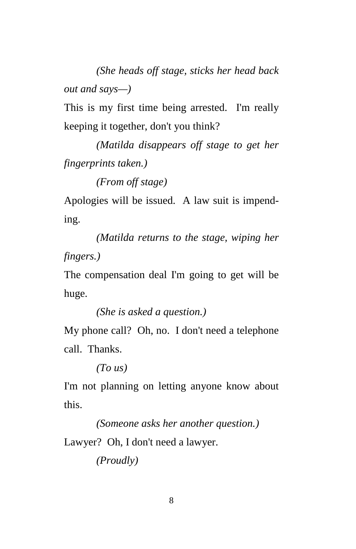*(She heads off stage, sticks her head back out and says—)* 

This is my first time being arrested. I'm really keeping it together, don't you think?

 *(Matilda disappears off stage to get her fingerprints taken.)* 

 *(From off stage)* 

Apologies will be issued. A law suit is impending.

 *(Matilda returns to the stage, wiping her fingers.)* 

The compensation deal I'm going to get will be huge.

 *(She is asked a question.)* 

My phone call? Oh, no. I don't need a telephone call. Thanks.

 *(To us)* 

I'm not planning on letting anyone know about this.

 *(Someone asks her another question.)* 

Lawyer? Oh, I don't need a lawyer.

 *(Proudly)*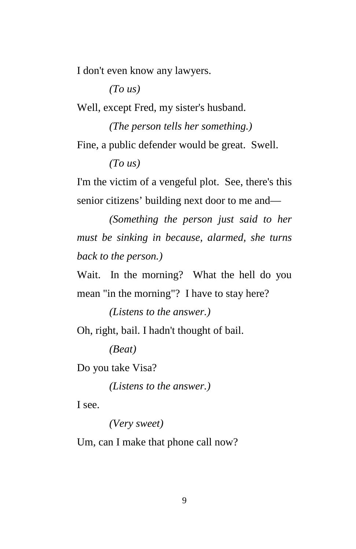I don't even know any lawyers.

 *(To us)* 

Well, except Fred, my sister's husband.

 *(The person tells her something.)*  Fine, a public defender would be great. Swell.  *(To us)* 

I'm the victim of a vengeful plot. See, there's this senior citizens' building next door to me and—

 *(Something the person just said to her must be sinking in because, alarmed, she turns back to the person.)* 

Wait. In the morning? What the hell do you mean "in the morning"? I have to stay here?

 *(Listens to the answer.)* 

Oh, right, bail. I hadn't thought of bail.

 *(Beat)* 

Do you take Visa?

 *(Listens to the answer.)* 

I see.

 *(Very sweet)* 

Um, can I make that phone call now?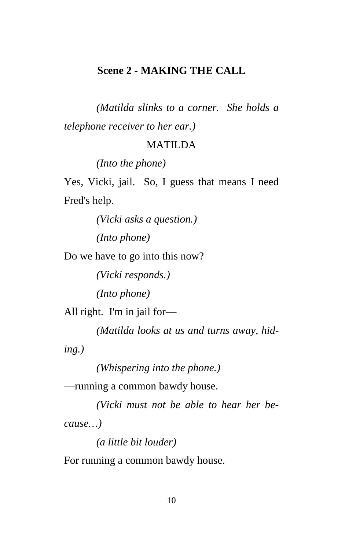#### **Scene 2 - MAKING THE CALL**

 *(Matilda slinks to a corner. She holds a telephone receiver to her ear.)* 

#### MATILDA

 *(Into the phone)* 

Yes, Vicki, jail. So, I guess that means I need Fred's help.

 *(Vicki asks a question.)* 

 *(Into phone)* 

Do we have to go into this now?

 *(Vicki responds.)* 

 *(Into phone)* 

All right. I'm in jail for—

 *(Matilda looks at us and turns away, hid-*

*ing.)* 

 *(Whispering into the phone.)* 

—running a common bawdy house.

 *(Vicki must not be able to hear her because…)* 

 *(a little bit louder)* 

For running a common bawdy house.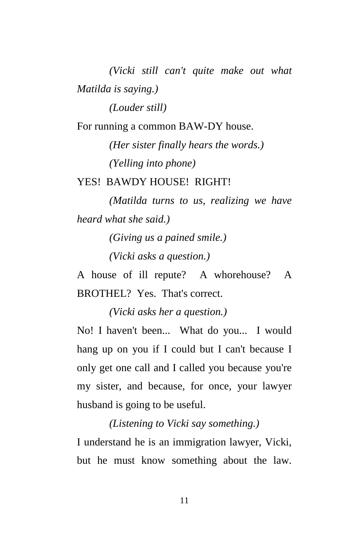*(Vicki still can't quite make out what Matilda is saying.) (Louder still)* 

For running a common BAW-DY house.

 *(Her sister finally hears the words.) (Yelling into phone)* 

YES! BAWDY HOUSE! RIGHT!

 *(Matilda turns to us, realizing we have heard what she said.)* 

 *(Giving us a pained smile.)* 

 *(Vicki asks a question.)* 

A house of ill repute? A whorehouse? A BROTHEL? Yes. That's correct.

 *(Vicki asks her a question.)* 

No! I haven't been... What do you... I would hang up on you if I could but I can't because I only get one call and I called you because you're my sister, and because, for once, your lawyer husband is going to be useful.

 *(Listening to Vicki say something.)*  I understand he is an immigration lawyer, Vicki,

but he must know something about the law.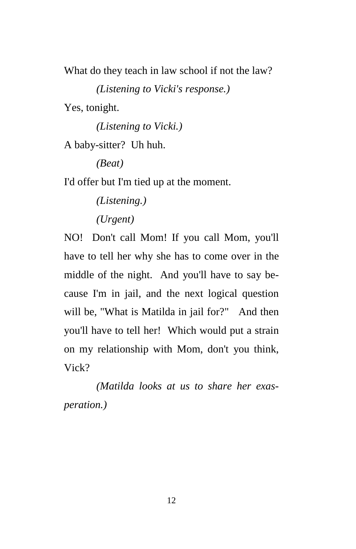What do they teach in law school if not the law?

 *(Listening to Vicki's response.)* 

Yes, tonight.

 *(Listening to Vicki.)* 

A baby-sitter? Uh huh.

 *(Beat)* 

I'd offer but I'm tied up at the moment.

 *(Listening.) (Urgent)* 

NO! Don't call Mom! If you call Mom, you'll have to tell her why she has to come over in the middle of the night. And you'll have to say because I'm in jail, and the next logical question will be, "What is Matilda in jail for?" And then you'll have to tell her! Which would put a strain

on my relationship with Mom, don't you think, Vick?

 *(Matilda looks at us to share her exasperation.)*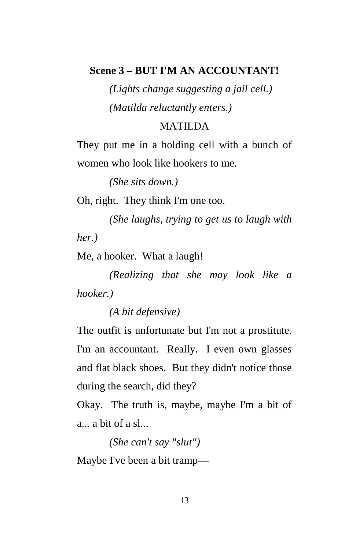#### **Scene 3 – BUT I'M AN ACCOUNTANT!**

 *(Lights change suggesting a jail cell.) (Matilda reluctantly enters.)* 

#### MATILDA

They put me in a holding cell with a bunch of women who look like hookers to me.

 *(She sits down.)* 

Oh, right. They think I'm one too.

 *(She laughs, trying to get us to laugh with her.)* 

Me, a hooker. What a laugh!

 *(Realizing that she may look like a hooker.)* 

 *(A bit defensive)* 

The outfit is unfortunate but I'm not a prostitute. I'm an accountant. Really. I even own glasses and flat black shoes. But they didn't notice those during the search, did they?

Okay. The truth is, maybe, maybe I'm a bit of a... a bit of a sl...

 *(She can't say "slut")* 

Maybe I've been a bit tramp—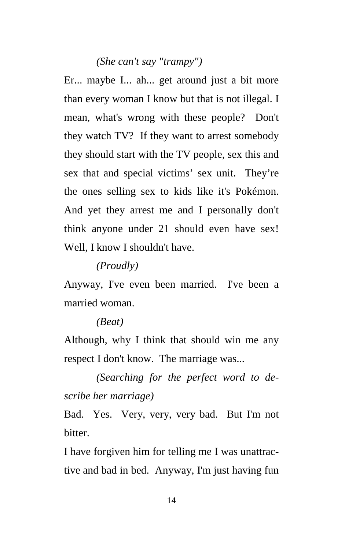## *(She can't say "trampy")*

Er... maybe I... ah... get around just a bit more than every woman I know but that is not illegal. I mean, what's wrong with these people? Don't they watch TV? If they want to arrest somebody they should start with the TV people, sex this and sex that and special victims' sex unit. They're the ones selling sex to kids like it's Pokémon. And yet they arrest me and I personally don't think anyone under 21 should even have sex! Well, I know I shouldn't have.

 *(Proudly)* 

Anyway, I've even been married. I've been a married woman.

#### *(Beat)*

Although, why I think that should win me any respect I don't know. The marriage was...

 *(Searching for the perfect word to describe her marriage)* 

Bad. Yes. Very, very, very bad. But I'm not bitter.

I have forgiven him for telling me I was unattractive and bad in bed. Anyway, I'm just having fun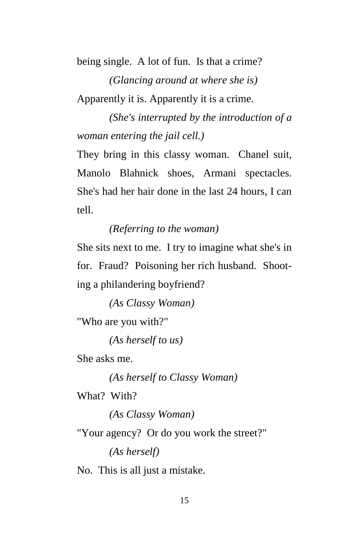being single. A lot of fun. Is that a crime?

 *(Glancing around at where she is)*  Apparently it is. Apparently it is a crime.

 *(She's interrupted by the introduction of a woman entering the jail cell.)* 

They bring in this classy woman. Chanel suit, Manolo Blahnick shoes, Armani spectacles. She's had her hair done in the last 24 hours, I can tell.

## *(Referring to the woman)*

She sits next to me. I try to imagine what she's in for. Fraud? Poisoning her rich husband. Shooting a philandering boyfriend?

 *(As Classy Woman)* 

"Who are you with?"

 *(As herself to us)* 

She asks me.

 *(As herself to Classy Woman)* 

What? With?

 *(As Classy Woman)* 

"Your agency? Or do you work the street?"

 *(As herself)* 

No. This is all just a mistake.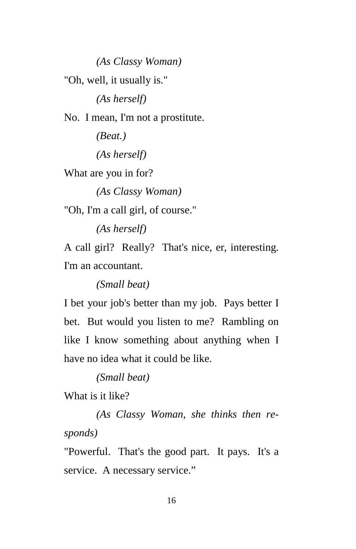*(As Classy Woman)*  "Oh, well, it usually is."  *(As herself)*  No. I mean, I'm not a prostitute.  *(Beat.) (As herself)*  What are you in for?  *(As Classy Woman)*  "Oh, I'm a call girl, of course."  *(As herself)*  A call girl? Really? That's nice, er, interesting. I'm an accountant.

 *(Small beat)* 

I bet your job's better than my job. Pays better I bet. But would you listen to me? Rambling on like I know something about anything when I have no idea what it could be like.

 *(Small beat)* 

What is it like?

 *(As Classy Woman, she thinks then responds)* 

"Powerful. That's the good part. It pays. It's a service. A necessary service."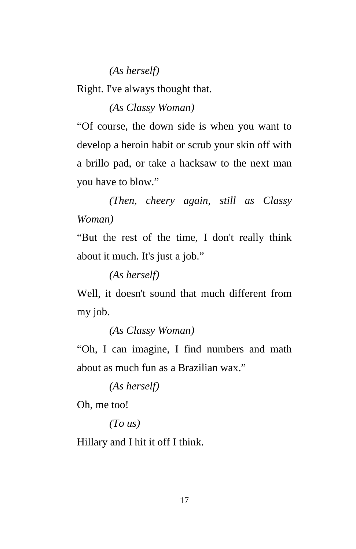### *(As herself)*

Right. I've always thought that.

 *(As Classy Woman)* 

"Of course, the down side is when you want to develop a heroin habit or scrub your skin off with a brillo pad, or take a hacksaw to the next man you have to blow."

 *(Then, cheery again, still as Classy Woman)* 

"But the rest of the time, I don't really think about it much. It's just a job."

 *(As herself)* 

Well, it doesn't sound that much different from my job.

 *(As Classy Woman)* 

"Oh, I can imagine, I find numbers and math about as much fun as a Brazilian wax."

 *(As herself)* 

Oh, me too!

 *(To us)* 

Hillary and I hit it off I think.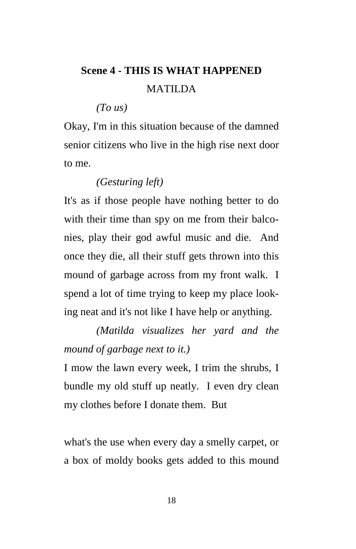# **Scene 4 - THIS IS WHAT HAPPENED** MATILDA

 *(To us)* 

Okay, I'm in this situation because of the damned senior citizens who live in the high rise next door to me.

## *(Gesturing left)*

It's as if those people have nothing better to do with their time than spy on me from their balconies, play their god awful music and die. And once they die, all their stuff gets thrown into this mound of garbage across from my front walk. I spend a lot of time trying to keep my place looking neat and it's not like I have help or anything.

 *(Matilda visualizes her yard and the mound of garbage next to it.)* 

I mow the lawn every week, I trim the shrubs, I bundle my old stuff up neatly. I even dry clean my clothes before I donate them. But

what's the use when every day a smelly carpet, or a box of moldy books gets added to this mound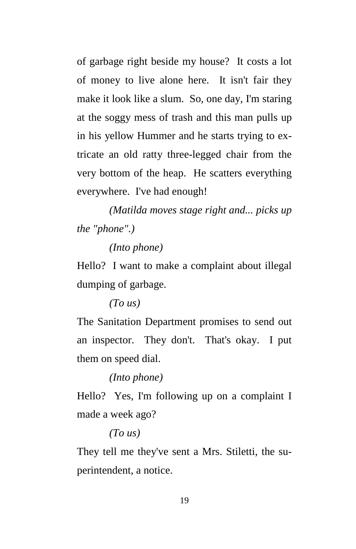of garbage right beside my house? It costs a lot of money to live alone here. It isn't fair they make it look like a slum. So, one day, I'm staring at the soggy mess of trash and this man pulls up in his yellow Hummer and he starts trying to extricate an old ratty three-legged chair from the very bottom of the heap. He scatters everything everywhere. I've had enough!

 *(Matilda moves stage right and... picks up the "phone".)* 

#### *(Into phone)*

Hello? I want to make a complaint about illegal dumping of garbage.

## *(To us)*

The Sanitation Department promises to send out an inspector. They don't. That's okay. I put them on speed dial.

#### *(Into phone)*

Hello? Yes, I'm following up on a complaint I made a week ago?

#### *(To us)*

They tell me they've sent a Mrs. Stiletti, the superintendent, a notice.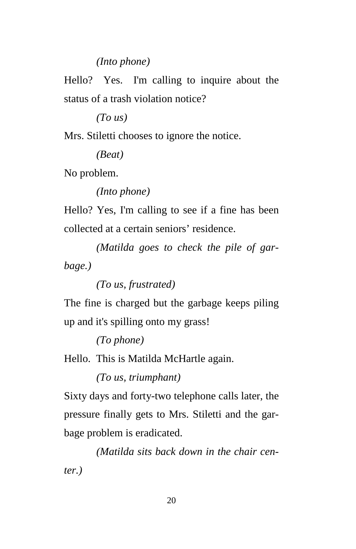## *(Into phone)*

Hello? Yes. I'm calling to inquire about the status of a trash violation notice?

 *(To us)* 

Mrs. Stiletti chooses to ignore the notice.

 *(Beat)* 

No problem.

 *(Into phone)* 

Hello? Yes, I'm calling to see if a fine has been collected at a certain seniors' residence.

 *(Matilda goes to check the pile of garbage.)* 

 *(To us, frustrated)* 

The fine is charged but the garbage keeps piling up and it's spilling onto my grass!

 *(To phone)* 

Hello. This is Matilda McHartle again.

 *(To us, triumphant)* 

Sixty days and forty-two telephone calls later, the pressure finally gets to Mrs. Stiletti and the garbage problem is eradicated.

 *(Matilda sits back down in the chair center.)*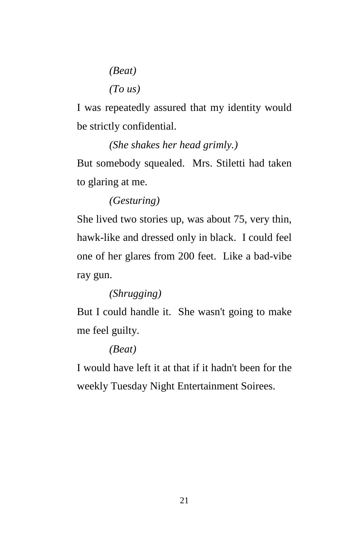*(Beat) (To us)* 

I was repeatedly assured that my identity would be strictly confidential.

 *(She shakes her head grimly.)*  But somebody squealed. Mrs. Stiletti had taken to glaring at me.

 *(Gesturing)* 

She lived two stories up, was about 75, very thin, hawk-like and dressed only in black. I could feel one of her glares from 200 feet. Like a bad-vibe ray gun.

 *(Shrugging)* 

But I could handle it. She wasn't going to make me feel guilty.

## *(Beat)*

I would have left it at that if it hadn't been for the weekly Tuesday Night Entertainment Soirees.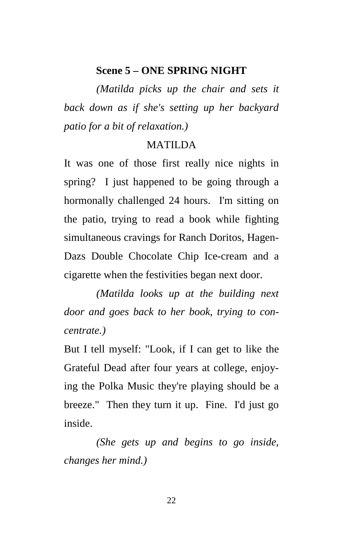#### **Scene 5 – ONE SPRING NIGHT**

 *(Matilda picks up the chair and sets it back down as if she's setting up her backyard patio for a bit of relaxation.)* 

#### MATILDA

It was one of those first really nice nights in spring? I just happened to be going through a hormonally challenged 24 hours. I'm sitting on the patio, trying to read a book while fighting simultaneous cravings for Ranch Doritos, Hagen-Dazs Double Chocolate Chip Ice-cream and a cigarette when the festivities began next door.

 *(Matilda looks up at the building next door and goes back to her book, trying to concentrate.)* 

But I tell myself: "Look, if I can get to like the Grateful Dead after four years at college, enjoying the Polka Music they're playing should be a breeze." Then they turn it up. Fine. I'd just go inside.

 *(She gets up and begins to go inside, changes her mind.)*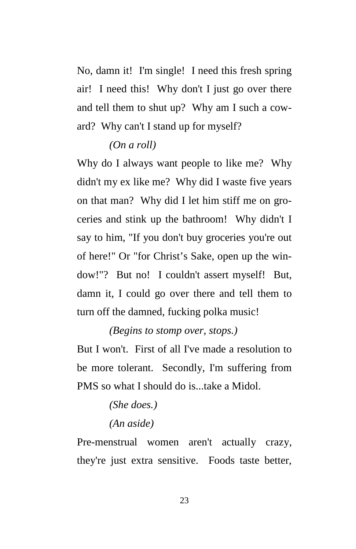No, damn it! I'm single! I need this fresh spring air! I need this! Why don't I just go over there and tell them to shut up? Why am I such a coward? Why can't I stand up for myself?

### *(On a roll)*

Why do I always want people to like me? Why didn't my ex like me? Why did I waste five years on that man? Why did I let him stiff me on groceries and stink up the bathroom! Why didn't I say to him, "If you don't buy groceries you're out of here!" Or "for Christ's Sake, open up the window!"? But no! I couldn't assert myself! But, damn it, I could go over there and tell them to turn off the damned, fucking polka music!

 *(Begins to stomp over, stops.)* 

But I won't. First of all I've made a resolution to be more tolerant. Secondly, I'm suffering from PMS so what I should do is...take a Midol.

## *(She does.) (An aside)*

Pre-menstrual women aren't actually crazy, they're just extra sensitive. Foods taste better,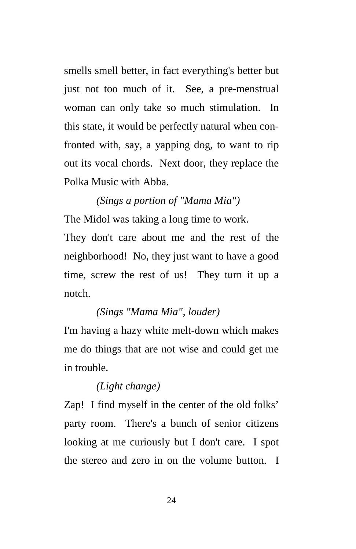smells smell better, in fact everything's better but just not too much of it. See, a pre-menstrual woman can only take so much stimulation. In this state, it would be perfectly natural when confronted with, say, a yapping dog, to want to rip out its vocal chords. Next door, they replace the Polka Music with Abba.

# *(Sings a portion of "Mama Mia")*  The Midol was taking a long time to work. They don't care about me and the rest of the neighborhood! No, they just want to have a good time, screw the rest of us! They turn it up a notch.

## *(Sings "Mama Mia", louder)*

I'm having a hazy white melt-down which makes me do things that are not wise and could get me in trouble.

## *(Light change)*

Zap! I find myself in the center of the old folks' party room. There's a bunch of senior citizens looking at me curiously but I don't care. I spot the stereo and zero in on the volume button. I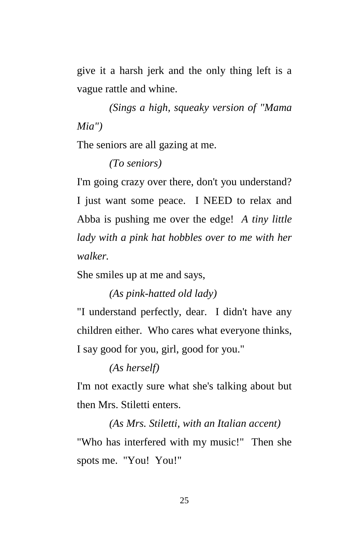give it a harsh jerk and the only thing left is a vague rattle and whine.

 *(Sings a high, squeaky version of "Mama Mia")* 

The seniors are all gazing at me.

 *(To seniors)* 

I'm going crazy over there, don't you understand? I just want some peace. I NEED to relax and Abba is pushing me over the edge! *A tiny little lady with a pink hat hobbles over to me with her walker.* 

She smiles up at me and says,

 *(As pink-hatted old lady)* 

"I understand perfectly, dear. I didn't have any children either. Who cares what everyone thinks, I say good for you, girl, good for you."

 *(As herself)* 

I'm not exactly sure what she's talking about but then Mrs. Stiletti enters.

 *(As Mrs. Stiletti, with an Italian accent)*  "Who has interfered with my music!" Then she spots me. "You! You!"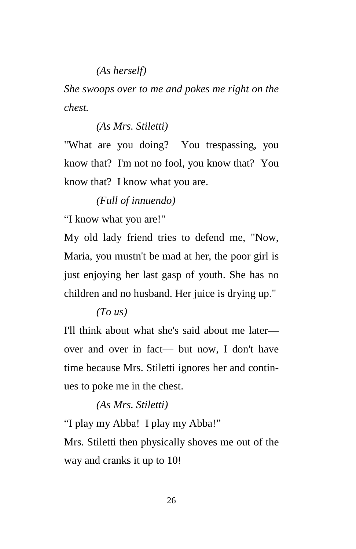## *(As herself)*

*She swoops over to me and pokes me right on the chest.* 

#### *(As Mrs. Stiletti)*

"What are you doing? You trespassing, you know that? I'm not no fool, you know that? You know that? I know what you are.

## *(Full of innuendo)*

"I know what you are!"

My old lady friend tries to defend me, "Now, Maria, you mustn't be mad at her, the poor girl is just enjoying her last gasp of youth. She has no children and no husband. Her juice is drying up."

#### *(To us)*

I'll think about what she's said about me later over and over in fact— but now, I don't have time because Mrs. Stiletti ignores her and continues to poke me in the chest.

#### *(As Mrs. Stiletti)*

"I play my Abba! I play my Abba!"

Mrs. Stiletti then physically shoves me out of the way and cranks it up to 10!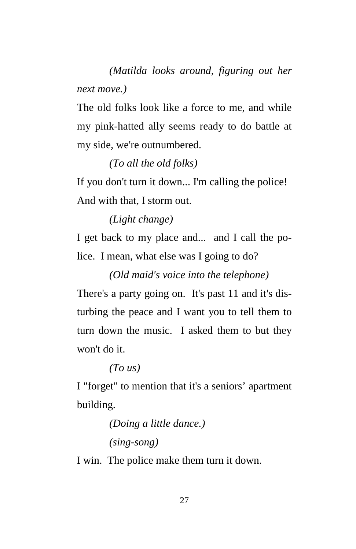*(Matilda looks around, figuring out her next move.)* 

The old folks look like a force to me, and while my pink-hatted ally seems ready to do battle at my side, we're outnumbered.

 *(To all the old folks)* 

If you don't turn it down... I'm calling the police! And with that, I storm out.

 *(Light change)* 

I get back to my place and... and I call the police. I mean, what else was I going to do?

 *(Old maid's voice into the telephone)* 

There's a party going on. It's past 11 and it's disturbing the peace and I want you to tell them to turn down the music. I asked them to but they won't do it.

 *(To us)* 

I "forget" to mention that it's a seniors' apartment building.

```
 (Doing a little dance.) 
(sing-song)
```
I win. The police make them turn it down.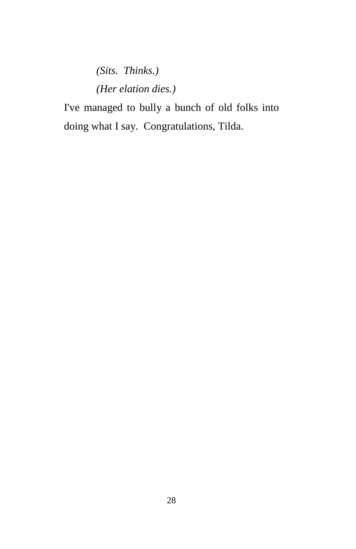# *(Sits. Thinks.) (Her elation dies.)*

I've managed to bully a bunch of old folks into doing what I say. Congratulations, Tilda.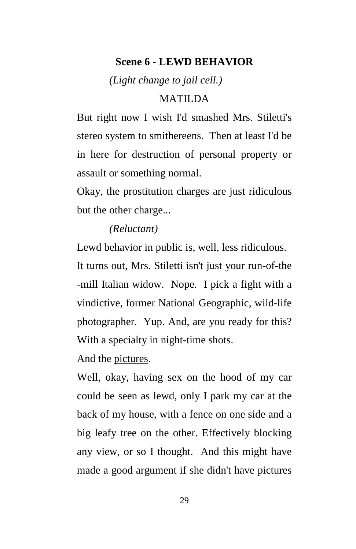## **Scene 6 - LEWD BEHAVIOR**

 *(Light change to jail cell.)* 

### MATILDA

But right now I wish I'd smashed Mrs. Stiletti's stereo system to smithereens. Then at least I'd be in here for destruction of personal property or assault or something normal.

Okay, the prostitution charges are just ridiculous but the other charge...

#### *(Reluctant)*

Lewd behavior in public is, well, less ridiculous. It turns out, Mrs. Stiletti isn't just your run-of-the -mill Italian widow. Nope. I pick a fight with a vindictive, former National Geographic, wild-life photographer. Yup. And, are you ready for this? With a specialty in night-time shots.

And the pictures.

Well, okay, having sex on the hood of my car could be seen as lewd, only I park my car at the back of my house, with a fence on one side and a big leafy tree on the other. Effectively blocking any view, or so I thought. And this might have made a good argument if she didn't have pictures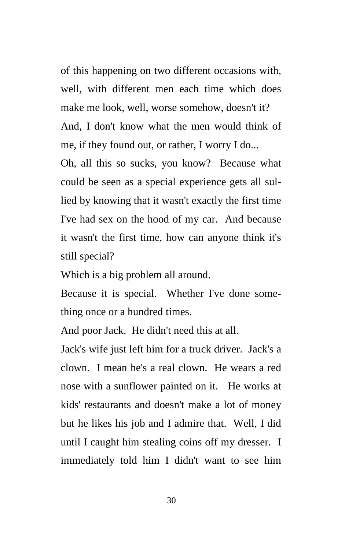of this happening on two different occasions with, well, with different men each time which does make me look, well, worse somehow, doesn't it? And, I don't know what the men would think of me, if they found out, or rather, I worry I do...

Oh, all this so sucks, you know? Because what could be seen as a special experience gets all sullied by knowing that it wasn't exactly the first time I've had sex on the hood of my car. And because it wasn't the first time, how can anyone think it's still special?

Which is a big problem all around.

Because it is special. Whether I've done something once or a hundred times.

And poor Jack. He didn't need this at all.

Jack's wife just left him for a truck driver. Jack's a clown. I mean he's a real clown. He wears a red nose with a sunflower painted on it. He works at kids' restaurants and doesn't make a lot of money but he likes his job and I admire that. Well, I did until I caught him stealing coins off my dresser. I immediately told him I didn't want to see him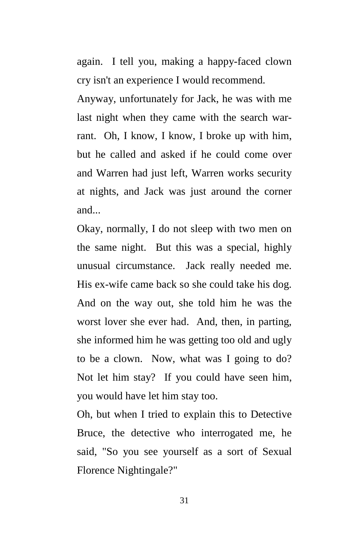again. I tell you, making a happy-faced clown cry isn't an experience I would recommend.

Anyway, unfortunately for Jack, he was with me last night when they came with the search warrant. Oh, I know, I know, I broke up with him, but he called and asked if he could come over and Warren had just left, Warren works security at nights, and Jack was just around the corner and...

Okay, normally, I do not sleep with two men on the same night. But this was a special, highly unusual circumstance. Jack really needed me. His ex-wife came back so she could take his dog. And on the way out, she told him he was the worst lover she ever had. And, then, in parting, she informed him he was getting too old and ugly to be a clown. Now, what was I going to do? Not let him stay? If you could have seen him, you would have let him stay too.

Oh, but when I tried to explain this to Detective Bruce, the detective who interrogated me, he said, "So you see yourself as a sort of Sexual Florence Nightingale?"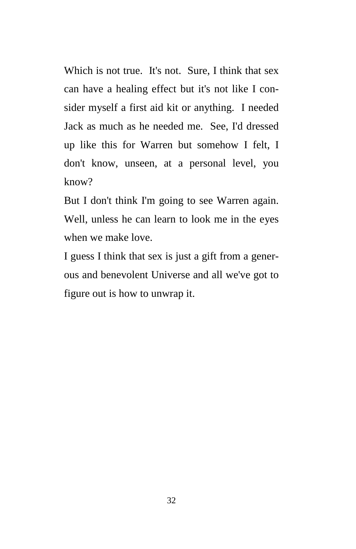Which is not true. It's not. Sure, I think that sex can have a healing effect but it's not like I consider myself a first aid kit or anything. I needed Jack as much as he needed me. See, I'd dressed up like this for Warren but somehow I felt, I don't know, unseen, at a personal level, you know?

But I don't think I'm going to see Warren again. Well, unless he can learn to look me in the eyes when we make love.

I guess I think that sex is just a gift from a generous and benevolent Universe and all we've got to figure out is how to unwrap it.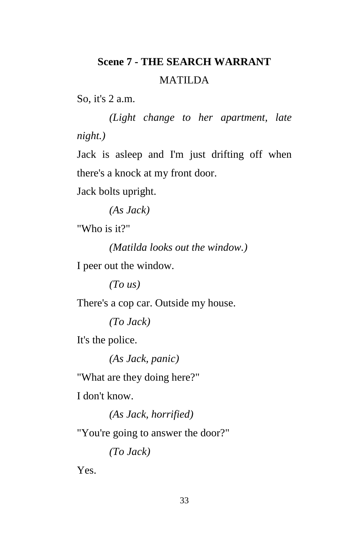## **Scene 7 - THE SEARCH WARRANT**  MATILDA

So, it's 2 a.m.

 *(Light change to her apartment, late night.)* 

Jack is asleep and I'm just drifting off when there's a knock at my front door.

Jack bolts upright.

 *(As Jack)* 

"Who is it?"

 *(Matilda looks out the window.)* 

I peer out the window.

 *(To us)* 

There's a cop car. Outside my house.

 *(To Jack)* 

It's the police.

 *(As Jack, panic)* 

"What are they doing here?"

I don't know.

 *(As Jack, horrified)* 

"You're going to answer the door?"

 *(To Jack)* 

Yes.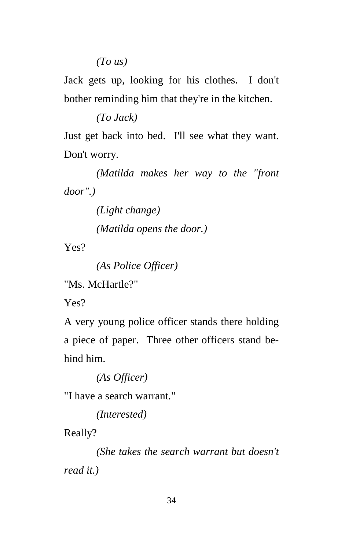## *(To us)*

Jack gets up, looking for his clothes. I don't bother reminding him that they're in the kitchen.

 *(To Jack)* 

Just get back into bed. I'll see what they want. Don't worry.

 *(Matilda makes her way to the "front door".)* 

 *(Light change)* 

 *(Matilda opens the door.)* 

Yes?

 *(As Police Officer)* 

"Ms. McHartle?"

Yes?

A very young police officer stands there holding a piece of paper. Three other officers stand behind him.

 *(As Officer)* 

"I have a search warrant."

 *(Interested)* 

Really?

 *(She takes the search warrant but doesn't read it.)*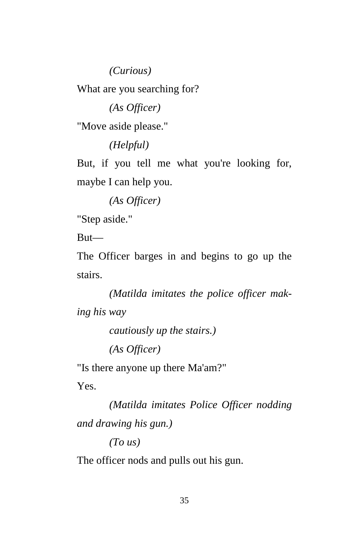*(Curious)* 

What are you searching for?

 *(As Officer)* 

"Move aside please."

 *(Helpful)* 

But, if you tell me what you're looking for, maybe I can help you.

 *(As Officer)* 

"Step aside."

But—

The Officer barges in and begins to go up the stairs.

 *(Matilda imitates the police officer making his way* 

 *cautiously up the stairs.)* 

 *(As Officer)* 

"Is there anyone up there Ma'am?"

Yes.

 *(Matilda imitates Police Officer nodding and drawing his gun.)* 

 *(To us)* 

The officer nods and pulls out his gun.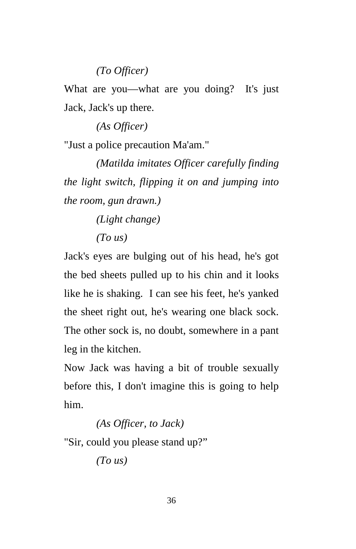## *(To Officer)*

What are you—what are you doing? It's just Jack, Jack's up there.

 *(As Officer)* 

"Just a police precaution Ma'am."

 *(Matilda imitates Officer carefully finding the light switch, flipping it on and jumping into the room, gun drawn.)* 

 *(Light change)* 

 *(To us)* 

Jack's eyes are bulging out of his head, he's got the bed sheets pulled up to his chin and it looks like he is shaking. I can see his feet, he's yanked the sheet right out, he's wearing one black sock. The other sock is, no doubt, somewhere in a pant leg in the kitchen.

Now Jack was having a bit of trouble sexually before this, I don't imagine this is going to help him.

 *(As Officer, to Jack)* 

"Sir, could you please stand up?"

 *(To us)*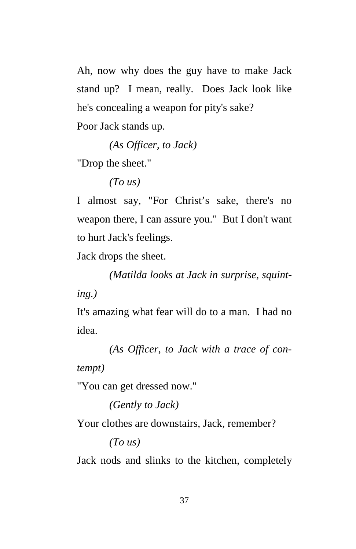Ah, now why does the guy have to make Jack stand up? I mean, really. Does Jack look like he's concealing a weapon for pity's sake?

Poor Jack stands up.

 *(As Officer, to Jack)* 

"Drop the sheet."

 *(To us)* 

I almost say, "For Christ's sake, there's no weapon there, I can assure you." But I don't want to hurt Jack's feelings.

Jack drops the sheet.

 *(Matilda looks at Jack in surprise, squinting.)* 

It's amazing what fear will do to a man. I had no idea.

 *(As Officer, to Jack with a trace of contempt)* 

"You can get dressed now."

 *(Gently to Jack)* 

Your clothes are downstairs, Jack, remember?

 *(To us)* 

Jack nods and slinks to the kitchen, completely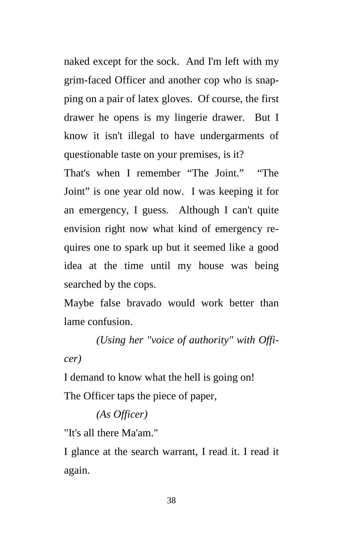naked except for the sock. And I'm left with my grim-faced Officer and another cop who is snapping on a pair of latex gloves. Of course, the first drawer he opens is my lingerie drawer. But I know it isn't illegal to have undergarments of questionable taste on your premises, is it?

That's when I remember "The Joint." "The Joint" is one year old now. I was keeping it for an emergency, I guess. Although I can't quite envision right now what kind of emergency requires one to spark up but it seemed like a good idea at the time until my house was being searched by the cops.

Maybe false bravado would work better than lame confusion.

 *(Using her "voice of authority" with Officer)* 

I demand to know what the hell is going on! The Officer taps the piece of paper,

## *(As Officer)*

"It's all there Ma'am."

I glance at the search warrant, I read it. I read it again.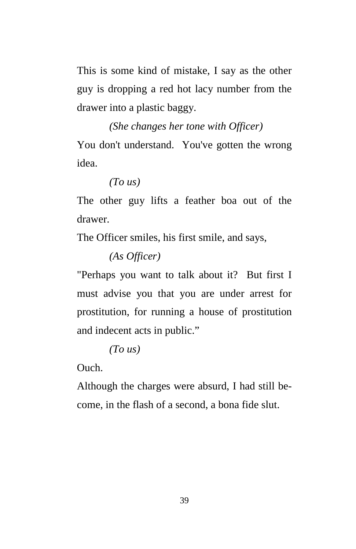This is some kind of mistake, I say as the other guy is dropping a red hot lacy number from the drawer into a plastic baggy.

 *(She changes her tone with Officer)* 

You don't understand. You've gotten the wrong idea.

 *(To us)* 

The other guy lifts a feather boa out of the drawer.

The Officer smiles, his first smile, and says,

 *(As Officer)* 

"Perhaps you want to talk about it? But first I must advise you that you are under arrest for prostitution, for running a house of prostitution and indecent acts in public."

 *(To us)* 

Ouch.

Although the charges were absurd, I had still become, in the flash of a second, a bona fide slut.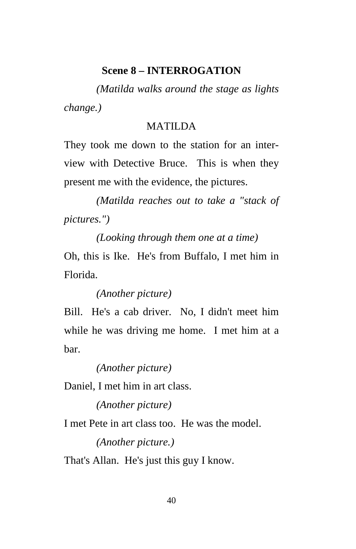#### **Scene 8 – INTERROGATION**

 *(Matilda walks around the stage as lights change.)* 

### MATILDA

They took me down to the station for an interview with Detective Bruce. This is when they present me with the evidence, the pictures.

 *(Matilda reaches out to take a "stack of pictures.")* 

 *(Looking through them one at a time)*  Oh, this is Ike. He's from Buffalo, I met him in Florida.

 *(Another picture)* 

Bill. He's a cab driver. No, I didn't meet him while he was driving me home. I met him at a bar.

 *(Another picture)* 

Daniel, I met him in art class.

 *(Another picture)* 

I met Pete in art class too. He was the model.

 *(Another picture.)* 

That's Allan. He's just this guy I know.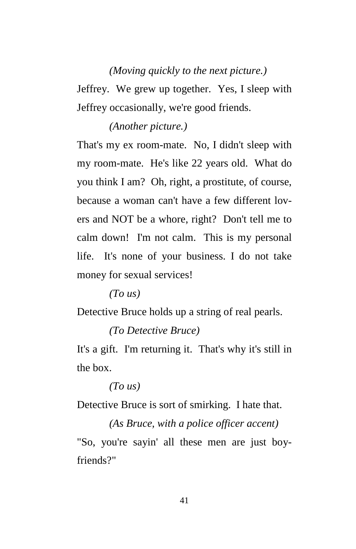## *(Moving quickly to the next picture.)*

Jeffrey. We grew up together. Yes, I sleep with Jeffrey occasionally, we're good friends.

#### *(Another picture.)*

That's my ex room-mate. No, I didn't sleep with my room-mate. He's like 22 years old. What do you think I am? Oh, right, a prostitute, of course, because a woman can't have a few different lovers and NOT be a whore, right? Don't tell me to calm down! I'm not calm. This is my personal life. It's none of your business. I do not take money for sexual services!

 *(To us)* 

Detective Bruce holds up a string of real pearls.

 *(To Detective Bruce)* 

It's a gift. I'm returning it. That's why it's still in the box.

 *(To us)* 

Detective Bruce is sort of smirking. I hate that.

 *(As Bruce, with a police officer accent)*  "So, you're sayin' all these men are just boyfriends?"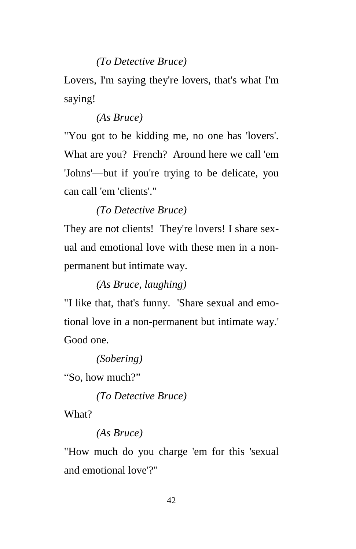## *(To Detective Bruce)*

Lovers, I'm saying they're lovers, that's what I'm saying!

## *(As Bruce)*

"You got to be kidding me, no one has 'lovers'. What are you? French? Around here we call 'em 'Johns'—but if you're trying to be delicate, you can call 'em 'clients'."

## *(To Detective Bruce)*

They are not clients! They're lovers! I share sexual and emotional love with these men in a nonpermanent but intimate way.

## *(As Bruce, laughing)*

"I like that, that's funny. 'Share sexual and emotional love in a non-permanent but intimate way.' Good one.

 *(Sobering)* 

"So, how much?"

 *(To Detective Bruce)* 

What?

## *(As Bruce)*

"How much do you charge 'em for this 'sexual and emotional love'?"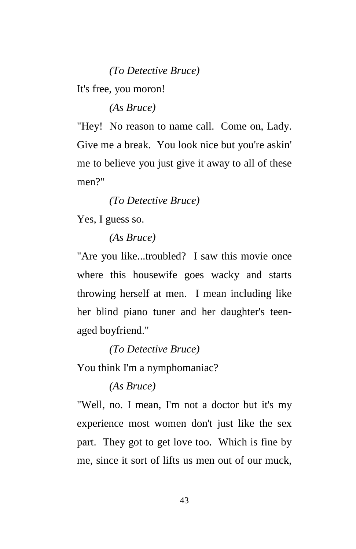*(To Detective Bruce)* 

It's free, you moron!

 *(As Bruce)* 

"Hey! No reason to name call. Come on, Lady. Give me a break. You look nice but you're askin' me to believe you just give it away to all of these men?"

 *(To Detective Bruce)* 

Yes, I guess so.

 *(As Bruce)* 

"Are you like...troubled? I saw this movie once where this housewife goes wacky and starts throwing herself at men. I mean including like her blind piano tuner and her daughter's teenaged boyfriend."

 *(To Detective Bruce)* 

You think I'm a nymphomaniac?

 *(As Bruce)* 

"Well, no. I mean, I'm not a doctor but it's my experience most women don't just like the sex part. They got to get love too. Which is fine by me, since it sort of lifts us men out of our muck,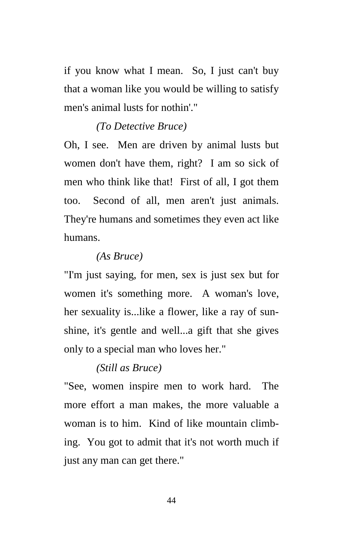if you know what I mean. So, I just can't buy that a woman like you would be willing to satisfy men's animal lusts for nothin'."

## *(To Detective Bruce)*

Oh, I see. Men are driven by animal lusts but women don't have them, right? I am so sick of men who think like that! First of all, I got them too. Second of all, men aren't just animals. They're humans and sometimes they even act like humans.

#### *(As Bruce)*

"I'm just saying, for men, sex is just sex but for women it's something more. A woman's love, her sexuality is...like a flower, like a ray of sunshine, it's gentle and well...a gift that she gives only to a special man who loves her."

#### *(Still as Bruce)*

"See, women inspire men to work hard. The more effort a man makes, the more valuable a woman is to him. Kind of like mountain climbing. You got to admit that it's not worth much if just any man can get there."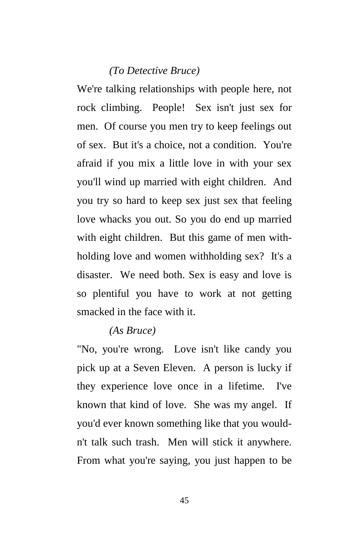#### *(To Detective Bruce)*

We're talking relationships with people here, not rock climbing. People! Sex isn't just sex for men. Of course you men try to keep feelings out of sex. But it's a choice, not a condition. You're afraid if you mix a little love in with your sex you'll wind up married with eight children. And you try so hard to keep sex just sex that feeling love whacks you out. So you do end up married with eight children. But this game of men withholding love and women withholding sex? It's a disaster. We need both. Sex is easy and love is so plentiful you have to work at not getting smacked in the face with it.

#### *(As Bruce)*

"No, you're wrong. Love isn't like candy you pick up at a Seven Eleven. A person is lucky if they experience love once in a lifetime. I've known that kind of love. She was my angel. If you'd ever known something like that you wouldn't talk such trash. Men will stick it anywhere. From what you're saying, you just happen to be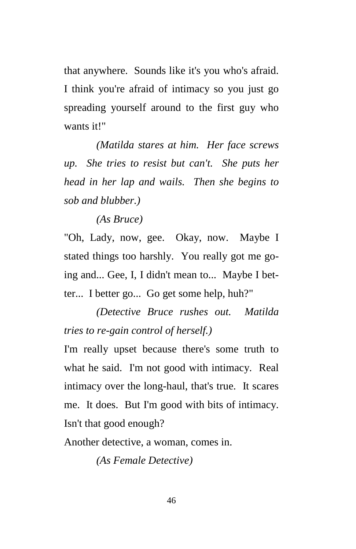that anywhere. Sounds like it's you who's afraid. I think you're afraid of intimacy so you just go spreading yourself around to the first guy who wants it!"

 *(Matilda stares at him. Her face screws up. She tries to resist but can't. She puts her head in her lap and wails. Then she begins to sob and blubber.)* 

 *(As Bruce)* 

"Oh, Lady, now, gee. Okay, now. Maybe I stated things too harshly. You really got me going and... Gee, I, I didn't mean to... Maybe I better... I better go... Go get some help, huh?"

 *(Detective Bruce rushes out. Matilda tries to re-gain control of herself.)* 

I'm really upset because there's some truth to what he said. I'm not good with intimacy. Real intimacy over the long-haul, that's true. It scares me. It does. But I'm good with bits of intimacy. Isn't that good enough?

Another detective, a woman, comes in.

 *(As Female Detective)*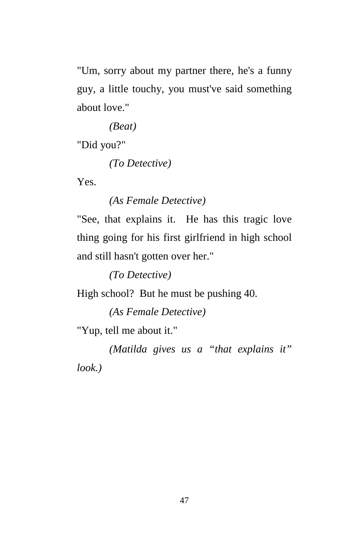"Um, sorry about my partner there, he's a funny guy, a little touchy, you must've said something about love."

 *(Beat)* 

"Did you?"

 *(To Detective)* 

Yes.

 *(As Female Detective)* 

"See, that explains it. He has this tragic love thing going for his first girlfriend in high school and still hasn't gotten over her."

 *(To Detective)* 

High school? But he must be pushing 40.

 *(As Female Detective)* 

"Yup, tell me about it."

 *(Matilda gives us a "that explains it" look.)*